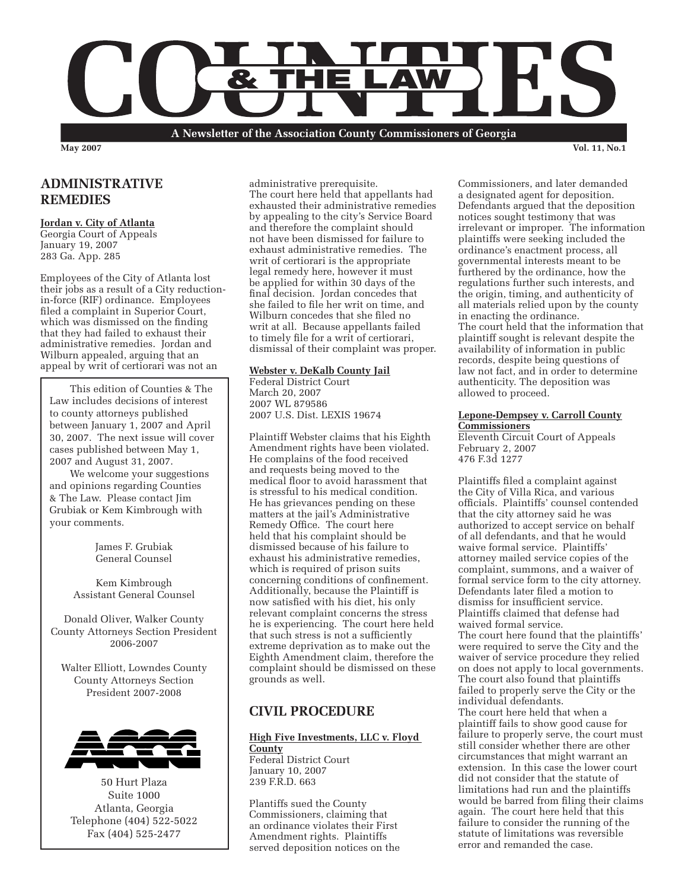

**A Newsletter of the Association County Commissioners of Georgia**

**May 2007 Vol. 11, No.1**

## **ADMINISTRATIVE REMEDIES**

### **Jordan v. City of Atlanta**

Georgia Court of Appeals January 19, 2007 283 Ga. App. 285

Employees of the City of Atlanta lost their jobs as a result of a City reductionin-force (RIF) ordinance. Employees filed a complaint in Superior Court, which was dismissed on the finding that they had failed to exhaust their administrative remedies. Jordan and Wilburn appealed, arguing that an appeal by writ of certiorari was not an

This edition of Counties & The Law includes decisions of interest to county attorneys published between January 1, 2007 and April 30, 2007. The next issue will cover cases published between May 1, 2007 and August 31, 2007.

We welcome your suggestions and opinions regarding Counties & The Law. Please contact Jim Grubiak or Kem Kimbrough with your comments.

> James F. Grubiak General Counsel

Kem Kimbrough Assistant General Counsel

Donald Oliver, Walker County County Attorneys Section President 2006-2007

Walter Elliott, Lowndes County County Attorneys Section President 2007-2008



50 Hurt Plaza Suite 1000 Atlanta, Georgia Telephone (404) 522-5022 Fax (404) 525-2477

administrative prerequisite. The court here held that appellants had exhausted their administrative remedies by appealing to the city's Service Board and therefore the complaint should not have been dismissed for failure to exhaust administrative remedies. The writ of certiorari is the appropriate legal remedy here, however it must be applied for within 30 days of the final decision. Jordan concedes that she failed to file her writ on time, and Wilburn concedes that she filed no writ at all. Because appellants failed to timely file for a writ of certiorari, dismissal of their complaint was proper.

### **Webster v. DeKalb County Jail**

Federal District Court March 20, 2007 2007 WL 879586 2007 U.S. Dist. LEXIS 19674

Plaintiff Webster claims that his Eighth Amendment rights have been violated. He complains of the food received and requests being moved to the medical floor to avoid harassment that is stressful to his medical condition. He has grievances pending on these matters at the jail's Administrative Remedy Office. The court here held that his complaint should be dismissed because of his failure to exhaust his administrative remedies, which is required of prison suits concerning conditions of confinement. Additionally, because the Plaintiff is now satisfied with his diet, his only relevant complaint concerns the stress he is experiencing. The court here held that such stress is not a sufficiently extreme deprivation as to make out the Eighth Amendment claim, therefore the complaint should be dismissed on these grounds as well.

## **CIVIL PROCEDURE**

### **High Five Investments, LLC v. Floyd County** Federal District Court

January 10, 2007 239 F.R.D. 663

Plantiffs sued the County Commissioners, claiming that an ordinance violates their First Amendment rights. Plaintiffs served deposition notices on the Commissioners, and later demanded a designated agent for deposition. Defendants argued that the deposition notices sought testimony that was irrelevant or improper. The information plaintiffs were seeking included the ordinance's enactment process, all governmental interests meant to be furthered by the ordinance, how the regulations further such interests, and the origin, timing, and authenticity of all materials relied upon by the county in enacting the ordinance. The court held that the information that plaintiff sought is relevant despite the availability of information in public records, despite being questions of law not fact, and in order to determine authenticity. The deposition was allowed to proceed.

### **Lepone-Dempsey v. Carroll County Commissioners**

Eleventh Circuit Court of Appeals February 2, 2007 476 F.3d 1277

Plaintiffs filed a complaint against the City of Villa Rica, and various officials. Plaintiffs' counsel contended that the city attorney said he was authorized to accept service on behalf of all defendants, and that he would waive formal service. Plaintiffs' attorney mailed service copies of the complaint, summons, and a waiver of formal service form to the city attorney. Defendants later filed a motion to dismiss for insufficient service. Plaintiffs claimed that defense had waived formal service.

The court here found that the plaintiffs' were required to serve the City and the waiver of service procedure they relied on does not apply to local governments. The court also found that plaintiffs failed to properly serve the City or the individual defendants. The court here held that when a plaintiff fails to show good cause for failure to properly serve, the court must still consider whether there are other circumstances that might warrant an extension. In this case the lower court did not consider that the statute of limitations had run and the plaintiffs would be barred from filing their claims again. The court here held that this failure to consider the running of the statute of limitations was reversible error and remanded the case.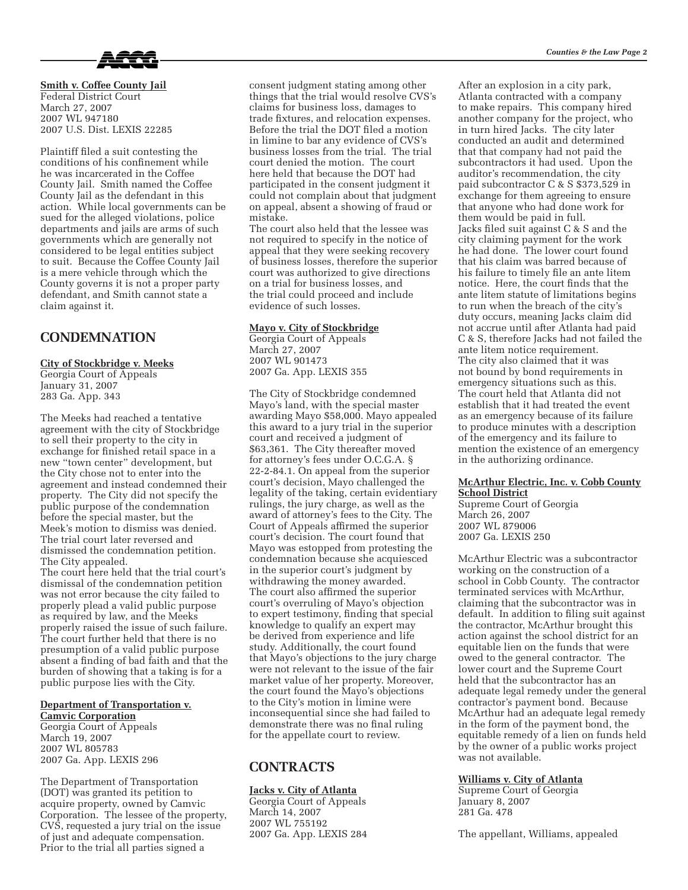

**Smith v. Coffee County Jail** Federal District Court March 27, 2007 2007 WL 947180 2007 U.S. Dist. LEXIS 22285

Plaintiff filed a suit contesting the conditions of his confinement while he was incarcerated in the Coffee County Jail. Smith named the Coffee County Jail as the defendant in this action. While local governments can be sued for the alleged violations, police departments and jails are arms of such governments which are generally not considered to be legal entities subject to suit. Because the Coffee County Jail is a mere vehicle through which the County governs it is not a proper party defendant, and Smith cannot state a claim against it.

## **CONDEMNATION**

### **City of Stockbridge v. Meeks**

Georgia Court of Appeals January 31, 2007 283 Ga. App. 343

The Meeks had reached a tentative agreement with the city of Stockbridge to sell their property to the city in exchange for finished retail space in a new "town center" development, but the City chose not to enter into the agreement and instead condemned their property. The City did not specify the public purpose of the condemnation before the special master, but the Meek's motion to dismiss was denied. The trial court later reversed and dismissed the condemnation petition. The City appealed. The court here held that the trial court's dismissal of the condemnation petition was not error because the city failed to properly plead a valid public purpose as required by law, and the Meeks properly raised the issue of such failure. The court further held that there is no presumption of a valid public purpose absent a finding of bad faith and that the burden of showing that a taking is for a public purpose lies with the City.

# **Department of Transportation v.**

**Camvic Corporation** Georgia Court of Appeals March 19, 2007 2007 WL 805783 2007 Ga. App. LEXIS 296

The Department of Transportation (DOT) was granted its petition to acquire property, owned by Camvic Corporation. The lessee of the property, CVS, requested a jury trial on the issue of just and adequate compensation. Prior to the trial all parties signed a

consent judgment stating among other things that the trial would resolve CVS's claims for business loss, damages to trade fixtures, and relocation expenses. Before the trial the DOT filed a motion in limine to bar any evidence of CVS's business losses from the trial. The trial court denied the motion. The court here held that because the DOT had participated in the consent judgment it could not complain about that judgment on appeal, absent a showing of fraud or mistake.

The court also held that the lessee was not required to specify in the notice of appeal that they were seeking recovery of business losses, therefore the superior court was authorized to give directions on a trial for business losses, and the trial could proceed and include evidence of such losses.

### **Mayo v. City of Stockbridge**

Georgia Court of Appeals March 27, 2007 2007 WL 901473 2007 Ga. App. LEXIS 355

The City of Stockbridge condemned Mayo's land, with the special master awarding Mayo \$58,000. Mayo appealed this award to a jury trial in the superior court and received a judgment of \$63,361. The City thereafter moved for attorney's fees under O.C.G.A. § 22-2-84.1. On appeal from the superior court's decision, Mayo challenged the legality of the taking, certain evidentiary rulings, the jury charge, as well as the award of attorney's fees to the City. The Court of Appeals affirmed the superior court's decision. The court found that Mayo was estopped from protesting the condemnation because she acquiesced in the superior court's judgment by withdrawing the money awarded. The court also affirmed the superior court's overruling of Mayo's objection to expert testimony, finding that special knowledge to qualify an expert may be derived from experience and life study. Additionally, the court found that Mayo's objections to the jury charge were not relevant to the issue of the fair market value of her property. Moreover, the court found the Mayo's objections to the City's motion in limine were inconsequential since she had failed to demonstrate there was no final ruling for the appellate court to review.

## **CONTRACTS**

### **Jacks v. City of Atlanta**

Georgia Court of Appeals March 14, 2007 2007 WL 755192 2007 Ga. App. LEXIS 284 After an explosion in a city park, Atlanta contracted with a company to make repairs. This company hired another company for the project, who in turn hired Jacks. The city later conducted an audit and determined that that company had not paid the subcontractors it had used. Upon the auditor's recommendation, the city paid subcontractor C & S \$373,529 in exchange for them agreeing to ensure that anyone who had done work for them would be paid in full. Jacks filed suit against C & S and the city claiming payment for the work he had done. The lower court found that his claim was barred because of his failure to timely file an ante litem notice. Here, the court finds that the ante litem statute of limitations begins to run when the breach of the city's duty occurs, meaning Jacks claim did not accrue until after Atlanta had paid C & S, therefore Jacks had not failed the ante litem notice requirement. The city also claimed that it was not bound by bond requirements in emergency situations such as this. The court held that Atlanta did not establish that it had treated the event as an emergency because of its failure to produce minutes with a description of the emergency and its failure to

### **McArthur Electric, Inc. v. Cobb County School District**

mention the existence of an emergency

Supreme Court of Georgia March 26, 2007 2007 WL 879006 2007 Ga. LEXIS 250

in the authorizing ordinance.

McArthur Electric was a subcontractor working on the construction of a school in Cobb County. The contractor terminated services with McArthur, claiming that the subcontractor was in default. In addition to filing suit against the contractor, McArthur brought this action against the school district for an equitable lien on the funds that were owed to the general contractor. The lower court and the Supreme Court held that the subcontractor has an adequate legal remedy under the general contractor's payment bond. Because McArthur had an adequate legal remedy in the form of the payment bond, the equitable remedy of a lien on funds held by the owner of a public works project was not available.

### **Williams v. City of Atlanta**

Supreme Court of Georgia January 8, 2007 281 Ga. 478

The appellant, Williams, appealed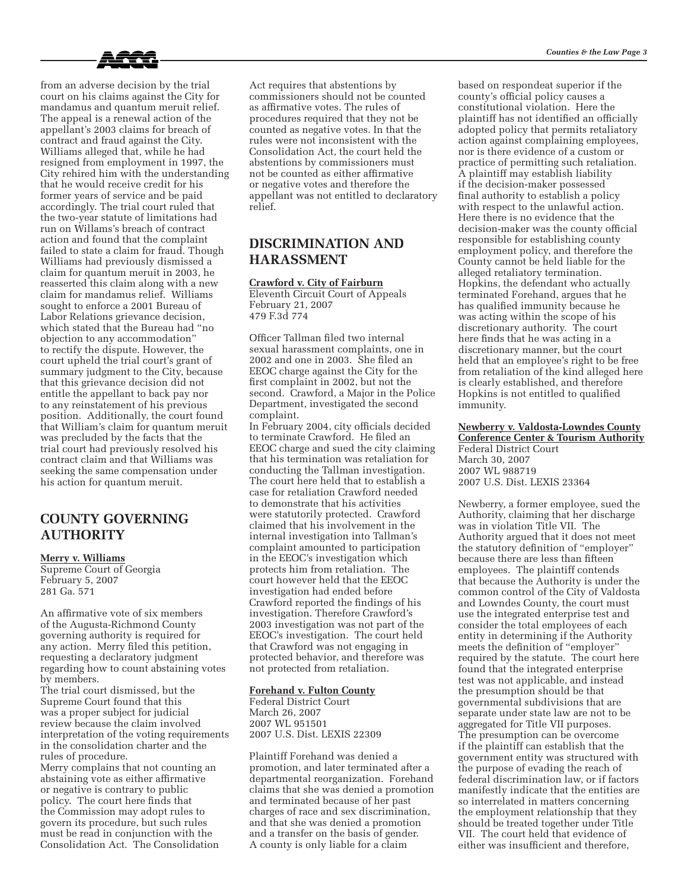

from an adverse decision by the trial court on his claims against the City for mandamus and quantum meruit relief. The appeal is a renewal action of the appellant's 2003 claims for breach of contract and fraud against the City. Williams alleged that, while he had resigned from employment in 1997, the City rehired him with the understanding that he would receive credit for his former years of service and be paid accordingly. The trial court ruled that the two-year statute of limitations had run on Willams's breach of contract action and found that the complaint failed to state a claim for fraud. Though Williams had previously dismissed a claim for quantum meruit in 2003, he reasserted this claim along with a new claim for mandamus relief. Williams sought to enforce a 2001 Bureau of Labor Relations grievance decision, which stated that the Bureau had "no objection to any accommodation" to rectify the dispute. However, the court upheld the trial court's grant of summary judgment to the City, because that this grievance decision did not entitle the appellant to back pay nor to any reinstatement of his previous position. Additionally, the court found that William's claim for quantum meruit was precluded by the facts that the trial court had previously resolved his contract claim and that Williams was seeking the same compensation under his action for quantum meruit.

## **COUNTY GOVERNING AUTHORITY**

#### **Merry v. Williams**

Supreme Court of Georgia February 5, 2007 281 Ga. 571

An affirmative vote of six members of the Augusta-Richmond County governing authority is required for any action. Merry filed this petition, requesting a declaratory judgment regarding how to count abstaining votes by members.

The trial court dismissed, but the Supreme Court found that this was a proper subject for judicial review because the claim involved interpretation of the voting requirements in the consolidation charter and the rules of procedure.

Merry complains that not counting an abstaining vote as either affirmative or negative is contrary to public policy. The court here finds that the Commission may adopt rules to govern its procedure, but such rules must be read in conjunction with the Consolidation Act. The Consolidation

Act requires that abstentions by commissioners should not be counted as affirmative votes. The rules of procedures required that they not be counted as negative votes. In that the rules were not inconsistent with the Consolidation Act, the court held the abstentions by commissioners must not be counted as either affirmative or negative votes and therefore the appellant was not entitled to declaratory relief.

## **DISCRIMINATION AND HARASSMENT**

### **Crawford v. City of Fairburn**

Eleventh Circuit Court of Appeals February 21, 2007 479 F.3d 774

Officer Tallman filed two internal sexual harassment complaints, one in 2002 and one in 2003. She filed an EEOC charge against the City for the first complaint in 2002, but not the second. Crawford, a Major in the Police Department, investigated the second complaint.

In February 2004, city officials decided to terminate Crawford. He filed an EEOC charge and sued the city claiming that his termination was retaliation for conducting the Tallman investigation. The court here held that to establish a case for retaliation Crawford needed to demonstrate that his activities were statutorily protected. Crawford claimed that his involvement in the internal investigation into Tallman's complaint amounted to participation in the EEOC's investigation which protects him from retaliation. The court however held that the EEOC investigation had ended before Crawford reported the findings of his investigation. Therefore Crawford's 2003 investigation was not part of the EEOC's investigation. The court held that Crawford was not engaging in protected behavior, and therefore was not protected from retaliation.

#### **Forehand v. Fulton County**

Federal District Court March 26, 2007 2007 WL 951501 2007 U.S. Dist. LEXIS 22309

Plaintiff Forehand was denied a promotion, and later terminated after a departmental reorganization. Forehand claims that she was denied a promotion and terminated because of her past charges of race and sex discrimination, and that she was denied a promotion and a transfer on the basis of gender. A county is only liable for a claim

based on respondeat superior if the county's official policy causes a constitutional violation. Here the plaintiff has not identified an officially adopted policy that permits retaliatory action against complaining employees, nor is there evidence of a custom or practice of permitting such retaliation. A plaintiff may establish liability if the decision-maker possessed final authority to establish a policy with respect to the unlawful action. Here there is no evidence that the decision-maker was the county official responsible for establishing county employment policy, and therefore the County cannot be held liable for the alleged retaliatory termination. Hopkins, the defendant who actually terminated Forehand, argues that he has qualified immunity because he was acting within the scope of his discretionary authority. The court here finds that he was acting in a discretionary manner, but the court held that an employee's right to be free from retaliation of the kind alleged here is clearly established, and therefore Hopkins is not entitled to qualified immunity.

#### **Newberry v. Valdosta-Lowndes County Conference Center & Tourism Authority**

Federal District Court March 30, 2007 2007 WL 988719 2007 U.S. Dist. LEXIS 23364

Newberry, a former employee, sued the Authority, claiming that her discharge was in violation Title VII. The Authority argued that it does not meet the statutory definition of "employer" because there are less than fifteen employees. The plaintiff contends that because the Authority is under the common control of the City of Valdosta and Lowndes County, the court must use the integrated enterprise test and consider the total employees of each entity in determining if the Authority meets the definition of "employer" required by the statute. The court here found that the integrated enterprise test was not applicable, and instead the presumption should be that governmental subdivisions that are separate under state law are not to be aggregated for Title VII purposes. The presumption can be overcome if the plaintiff can establish that the government entity was structured with the purpose of evading the reach of federal discrimination law, or if factors manifestly indicate that the entities are so interrelated in matters concerning the employment relationship that they should be treated together under Title VII. The court held that evidence of either was insufficient and therefore,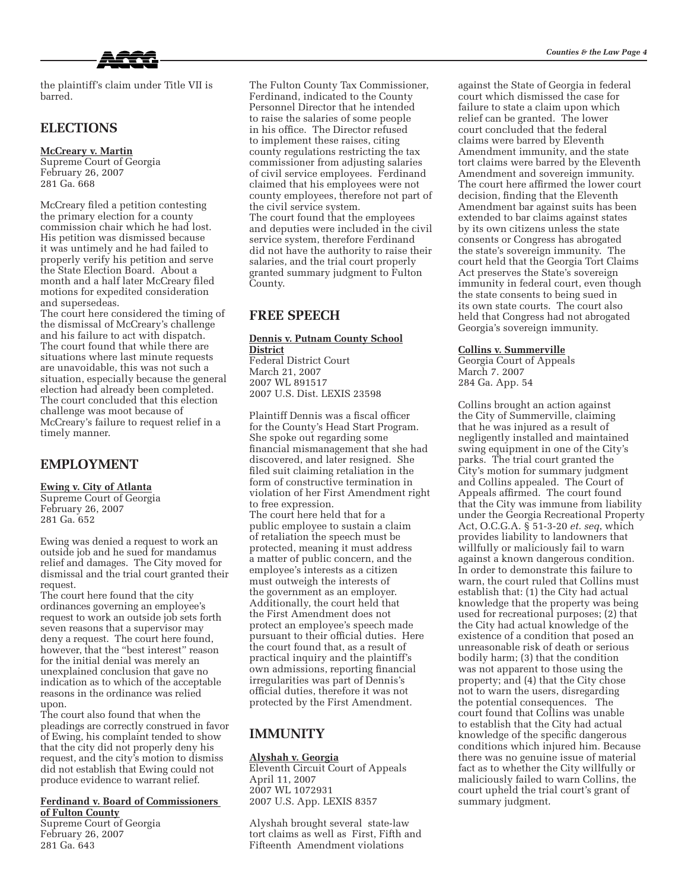

the plaintiff's claim under Title VII is barred.

## **ELECTIONS**

### **McCreary v. Martin**

Supreme Court of Georgia February 26, 2007 281 Ga. 668

McCreary filed a petition contesting the primary election for a county commission chair which he had lost. His petition was dismissed because it was untimely and he had failed to properly verify his petition and serve the State Election Board. About a month and a half later McCreary filed motions for expedited consideration and supersedeas.

The court here considered the timing of the dismissal of McCreary's challenge and his failure to act with dispatch. The court found that while there are situations where last minute requests are unavoidable, this was not such a situation, especially because the general election had already been completed. The court concluded that this election challenge was moot because of McCreary's failure to request relief in a timely manner.

### **EMPLOYMENT**

### **Ewing v. City of Atlanta**

Supreme Court of Georgia February 26, 2007 281 Ga. 652

Ewing was denied a request to work an outside job and he sued for mandamus relief and damages. The City moved for dismissal and the trial court granted their request.

The court here found that the city ordinances governing an employee's request to work an outside job sets forth seven reasons that a supervisor may deny a request. The court here found, however, that the "best interest" reason for the initial denial was merely an unexplained conclusion that gave no indication as to which of the acceptable reasons in the ordinance was relied upon.

The court also found that when the pleadings are correctly construed in favor of Ewing, his complaint tended to show that the city did not properly deny his request, and the city's motion to dismiss did not establish that Ewing could not produce evidence to warrant relief.

#### **Ferdinand v. Board of Commissioners of Fulton County**

Supreme Court of Georgia February 26, 2007 281 Ga. 643

The Fulton County Tax Commissioner, Ferdinand, indicated to the County Personnel Director that he intended to raise the salaries of some people in his office. The Director refused to implement these raises, citing county regulations restricting the tax commissioner from adjusting salaries of civil service employees. Ferdinand claimed that his employees were not county employees, therefore not part of the civil service system. The court found that the employees and deputies were included in the civil service system, therefore Ferdinand did not have the authority to raise their salaries, and the trial court properly granted summary judgment to Fulton County.

### **FREE SPEECH**

**Dennis v. Putnam County School District**

Federal District Court March 21, 2007 2007 WL 891517 2007 U.S. Dist. LEXIS 23598

Plaintiff Dennis was a fiscal officer for the County's Head Start Program. She spoke out regarding some financial mismanagement that she had discovered, and later resigned. She filed suit claiming retaliation in the form of constructive termination in violation of her First Amendment right to free expression. The court here held that for a public employee to sustain a claim of retaliation the speech must be protected, meaning it must address a matter of public concern, and the employee's interests as a citizen must outweigh the interests of the government as an employer. Additionally, the court held that the First Amendment does not protect an employee's speech made pursuant to their official duties. Here the court found that, as a result of practical inquiry and the plaintiff's own admissions, reporting financial irregularities was part of Dennis's official duties, therefore it was not protected by the First Amendment.

### **IMMUNITY**

#### **Alyshah v. Georgia**

Eleventh Circuit Court of Appeals April 11, 2007 2007 WL 1072931 2007 U.S. App. LEXIS 8357

Alyshah brought several state-law tort claims as well as First, Fifth and Fifteenth Amendment violations

against the State of Georgia in federal court which dismissed the case for failure to state a claim upon which relief can be granted. The lower court concluded that the federal claims were barred by Eleventh Amendment immunity, and the state tort claims were barred by the Eleventh Amendment and sovereign immunity. The court here affirmed the lower court decision, finding that the Eleventh Amendment bar against suits has been extended to bar claims against states by its own citizens unless the state consents or Congress has abrogated the state's sovereign immunity. The court held that the Georgia Tort Claims Act preserves the State's sovereign immunity in federal court, even though the state consents to being sued in its own state courts. The court also held that Congress had not abrogated Georgia's sovereign immunity.

#### **Collins v. Summerville**

Georgia Court of Appeals March 7. 2007 284 Ga. App. 54

Collins brought an action against the City of Summerville, claiming that he was injured as a result of negligently installed and maintained swing equipment in one of the City's parks. The trial court granted the City's motion for summary judgment and Collins appealed. The Court of Appeals affirmed. The court found that the City was immune from liability under the Georgia Recreational Property Act, O.C.G.A. § 51-3-20 *et. seq*, which provides liability to landowners that willfully or maliciously fail to warn against a known dangerous condition. In order to demonstrate this failure to warn, the court ruled that Collins must establish that: (1) the City had actual knowledge that the property was being used for recreational purposes; (2) that the City had actual knowledge of the existence of a condition that posed an unreasonable risk of death or serious bodily harm; (3) that the condition was not apparent to those using the property; and (4) that the City chose not to warn the users, disregarding the potential consequences. The court found that Collins was unable to establish that the City had actual knowledge of the specific dangerous conditions which injured him. Because there was no genuine issue of material fact as to whether the City willfully or maliciously failed to warn Collins, the court upheld the trial court's grant of summary judgment.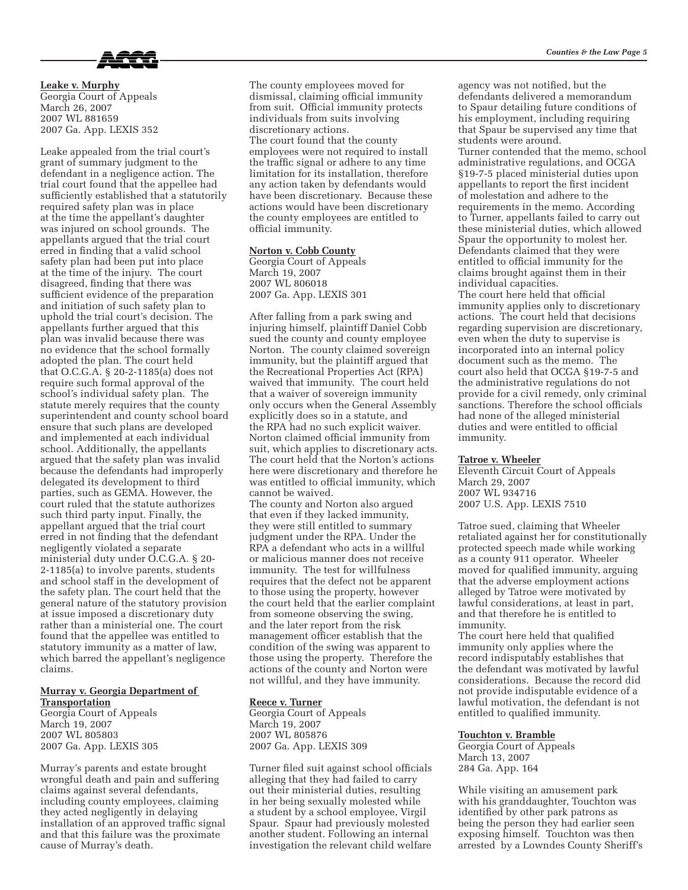

**Leake v. Murphy** Georgia Court of Appeals March 26, 2007 2007 WL 881659 2007 Ga. App. LEXIS 352

Leake appealed from the trial court's grant of summary judgment to the defendant in a negligence action. The trial court found that the appellee had sufficiently established that a statutorily required safety plan was in place at the time the appellant's daughter was injured on school grounds. The appellants argued that the trial court erred in finding that a valid school safety plan had been put into place at the time of the injury. The court disagreed, finding that there was sufficient evidence of the preparation and initiation of such safety plan to uphold the trial court's decision. The appellants further argued that this plan was invalid because there was no evidence that the school formally adopted the plan. The court held that O.C.G.A. § 20-2-1185(a) does not require such formal approval of the school's individual safety plan. The statute merely requires that the county superintendent and county school board ensure that such plans are developed and implemented at each individual school. Additionally, the appellants argued that the safety plan was invalid because the defendants had improperly delegated its development to third parties, such as GEMA. However, the court ruled that the statute authorizes such third party input. Finally, the appellant argued that the trial court erred in not finding that the defendant negligently violated a separate ministerial duty under O.C.G.A. § 20- 2-1185(a) to involve parents, students and school staff in the development of the safety plan. The court held that the general nature of the statutory provision at issue imposed a discretionary duty rather than a ministerial one. The court found that the appellee was entitled to statutory immunity as a matter of law, which barred the appellant's negligence claims.

## **Murray v. Georgia Department of**

**Transportation** Georgia Court of Appeals March 19, 2007 2007 WL 805803 2007 Ga. App. LEXIS 305

Murray's parents and estate brought wrongful death and pain and suffering claims against several defendants, including county employees, claiming they acted negligently in delaying installation of an approved traffic signal and that this failure was the proximate cause of Murray's death.

The county employees moved for dismissal, claiming official immunity from suit. Official immunity protects individuals from suits involving discretionary actions. The court found that the county employees were not required to install the traffic signal or adhere to any time limitation for its installation, therefore any action taken by defendants would have been discretionary. Because these actions would have been discretionary the county employees are entitled to official immunity.

### **Norton v. Cobb County**

Georgia Court of Appeals March 19, 2007 2007 WL 806018 2007 Ga. App. LEXIS 301

After falling from a park swing and injuring himself, plaintiff Daniel Cobb sued the county and county employee Norton. The county claimed sovereign immunity, but the plaintiff argued that the Recreational Properties Act (RPA) waived that immunity. The court held that a waiver of sovereign immunity only occurs when the General Assembly explicitly does so in a statute, and the RPA had no such explicit waiver. Norton claimed official immunity from suit, which applies to discretionary acts. The court held that the Norton's actions here were discretionary and therefore he was entitled to official immunity, which cannot be waived. The county and Norton also argued that even if they lacked immunity, they were still entitled to summary judgment under the RPA. Under the RPA a defendant who acts in a willful or malicious manner does not receive immunity. The test for willfulness requires that the defect not be apparent to those using the property, however the court held that the earlier complaint from someone observing the swing, and the later report from the risk management officer establish that the condition of the swing was apparent to those using the property. Therefore the actions of the county and Norton were not willful, and they have immunity.

### **Reece v. Turner**

Georgia Court of Appeals March 19, 2007 2007 WL 805876 2007 Ga. App. LEXIS 309

Turner filed suit against school officials alleging that they had failed to carry out their ministerial duties, resulting in her being sexually molested while a student by a school employee, Virgil Spaur. Spaur had previously molested another student. Following an internal investigation the relevant child welfare agency was not notified, but the defendants delivered a memorandum to Spaur detailing future conditions of his employment, including requiring that Spaur be supervised any time that students were around. Turner contended that the memo, school administrative regulations, and OCGA §19-7-5 placed ministerial duties upon appellants to report the first incident of molestation and adhere to the requirements in the memo. According to Turner, appellants failed to carry out these ministerial duties, which allowed Spaur the opportunity to molest her. Defendants claimed that they were entitled to official immunity for the claims brought against them in their individual capacities. The court here held that official immunity applies only to discretionary actions. The court held that decisions regarding supervision are discretionary, even when the duty to supervise is incorporated into an internal policy document such as the memo. The court also held that OCGA §19-7-5 and

the administrative regulations do not provide for a civil remedy, only criminal sanctions. Therefore the school officials had none of the alleged ministerial duties and were entitled to official immunity.

#### **Tatroe v. Wheeler**

Eleventh Circuit Court of Appeals March 29, 2007 2007 WL 934716 2007 U.S. App. LEXIS 7510

Tatroe sued, claiming that Wheeler retaliated against her for constitutionally protected speech made while working as a county 911 operator. Wheeler moved for qualified immunity, arguing that the adverse employment actions alleged by Tatroe were motivated by lawful considerations, at least in part, and that therefore he is entitled to immunity.

The court here held that qualified immunity only applies where the record indisputably establishes that the defendant was motivated by lawful considerations. Because the record did not provide indisputable evidence of a lawful motivation, the defendant is not entitled to qualified immunity.

### **Touchton v. Bramble**

Georgia Court of Appeals March 13, 2007 284 Ga. App. 164

While visiting an amusement park with his granddaughter, Touchton was identified by other park patrons as being the person they had earlier seen exposing himself. Touchton was then arrested by a Lowndes County Sheriff's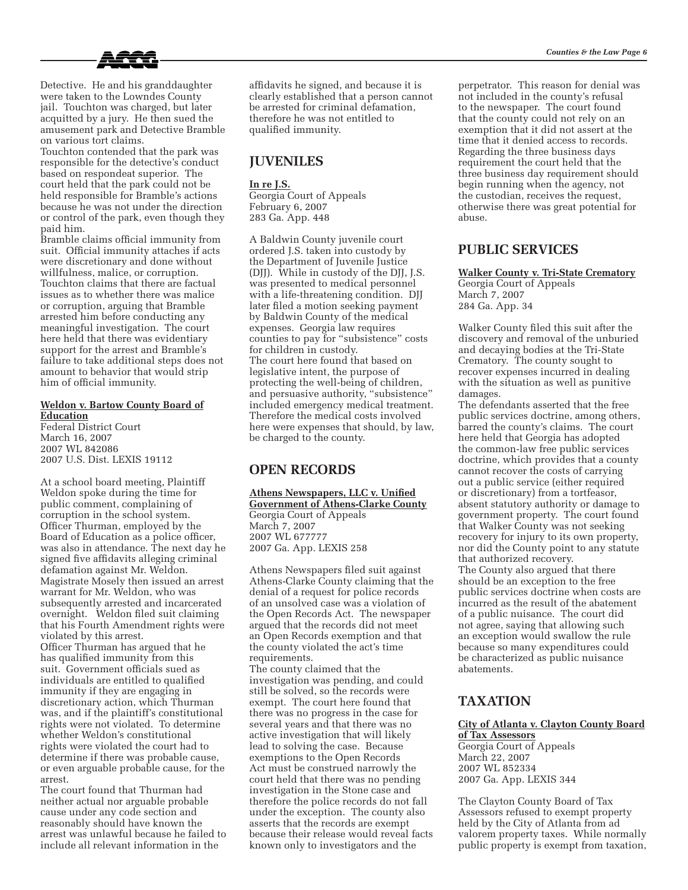

Detective. He and his granddaughter were taken to the Lowndes County jail. Touchton was charged, but later acquitted by a jury. He then sued the amusement park and Detective Bramble on various tort claims.

Touchton contended that the park was responsible for the detective's conduct based on respondeat superior. The court held that the park could not be held responsible for Bramble's actions because he was not under the direction or control of the park, even though they paid him.

Bramble claims official immunity from suit. Official immunity attaches if acts were discretionary and done without willfulness, malice, or corruption. Touchton claims that there are factual issues as to whether there was malice or corruption, arguing that Bramble arrested him before conducting any meaningful investigation. The court here held that there was evidentiary support for the arrest and Bramble's failure to take additional steps does not amount to behavior that would strip him of official immunity.

### **Weldon v. Bartow County Board of Education**

Federal District Court March 16, 2007 2007 WL 842086 2007 U.S. Dist. LEXIS 19112

At a school board meeting, Plaintiff Weldon spoke during the time for public comment, complaining of corruption in the school system. Officer Thurman, employed by the Board of Education as a police officer, was also in attendance. The next day he signed five affidavits alleging criminal defamation against Mr. Weldon. Magistrate Mosely then issued an arrest warrant for Mr. Weldon, who was subsequently arrested and incarcerated overnight. Weldon filed suit claiming that his Fourth Amendment rights were violated by this arrest.

Officer Thurman has argued that he has qualified immunity from this suit. Government officials sued as individuals are entitled to qualified immunity if they are engaging in discretionary action, which Thurman was, and if the plaintiff's constitutional rights were not violated. To determine whether Weldon's constitutional rights were violated the court had to determine if there was probable cause, or even arguable probable cause, for the arrest.

The court found that Thurman had neither actual nor arguable probable cause under any code section and reasonably should have known the arrest was unlawful because he failed to include all relevant information in the

affidavits he signed, and because it is clearly established that a person cannot be arrested for criminal defamation, therefore he was not entitled to qualified immunity.

## **JUVENILES**

### **In re J.S.**

Georgia Court of Appeals February 6, 2007 283 Ga. App. 448

A Baldwin County juvenile court ordered J.S. taken into custody by the Department of Juvenile Justice (DJJ). While in custody of the DJJ, J.S. was presented to medical personnel with a life-threatening condition. DJJ later filed a motion seeking payment by Baldwin County of the medical expenses. Georgia law requires counties to pay for "subsistence" costs for children in custody. The court here found that based on legislative intent, the purpose of protecting the well-being of children, and persuasive authority, "subsistence" included emergency medical treatment. Therefore the medical costs involved here were expenses that should, by law, be charged to the county.

## **OPEN RECORDS**

**Athens Newspapers, LLC v. Unified Government of Athens-Clarke County** Georgia Court of Appeals March 7, 2007 2007 WL 677777 2007 Ga. App. LEXIS 258

Athens Newspapers filed suit against Athens-Clarke County claiming that the denial of a request for police records of an unsolved case was a violation of the Open Records Act. The newspaper argued that the records did not meet an Open Records exemption and that the county violated the act's time requirements.

The county claimed that the investigation was pending, and could still be solved, so the records were exempt. The court here found that there was no progress in the case for several years and that there was no active investigation that will likely lead to solving the case. Because exemptions to the Open Records Act must be construed narrowly the court held that there was no pending investigation in the Stone case and therefore the police records do not fall under the exception. The county also asserts that the records are exempt because their release would reveal facts known only to investigators and the

perpetrator. This reason for denial was not included in the county's refusal to the newspaper. The court found that the county could not rely on an exemption that it did not assert at the time that it denied access to records. Regarding the three business days requirement the court held that the three business day requirement should begin running when the agency, not the custodian, receives the request, otherwise there was great potential for abuse.

## **PUBLIC SERVICES**

**Walker County v. Tri-State Crematory** Georgia Court of Appeals March 7, 2007 284 Ga. App. 34

Walker County filed this suit after the discovery and removal of the unburied and decaying bodies at the Tri-State Crematory. The county sought to recover expenses incurred in dealing with the situation as well as punitive damages.

The defendants asserted that the free public services doctrine, among others, barred the county's claims. The court here held that Georgia has adopted the common-law free public services doctrine, which provides that a county cannot recover the costs of carrying out a public service (either required or discretionary) from a tortfeasor, absent statutory authority or damage to government property. The court found that Walker County was not seeking recovery for injury to its own property, nor did the County point to any statute that authorized recovery. The County also argued that there should be an exception to the free public services doctrine when costs are incurred as the result of the abatement of a public nuisance. The court did not agree, saying that allowing such an exception would swallow the rule because so many expenditures could be characterized as public nuisance abatements.

## **TAXATION**

### **City of Atlanta v. Clayton County Board of Tax Assessors**

Georgia Court of Appeals March 22, 2007 2007 WL 852334 2007 Ga. App. LEXIS 344

The Clayton County Board of Tax Assessors refused to exempt property held by the City of Atlanta from ad valorem property taxes. While normally public property is exempt from taxation,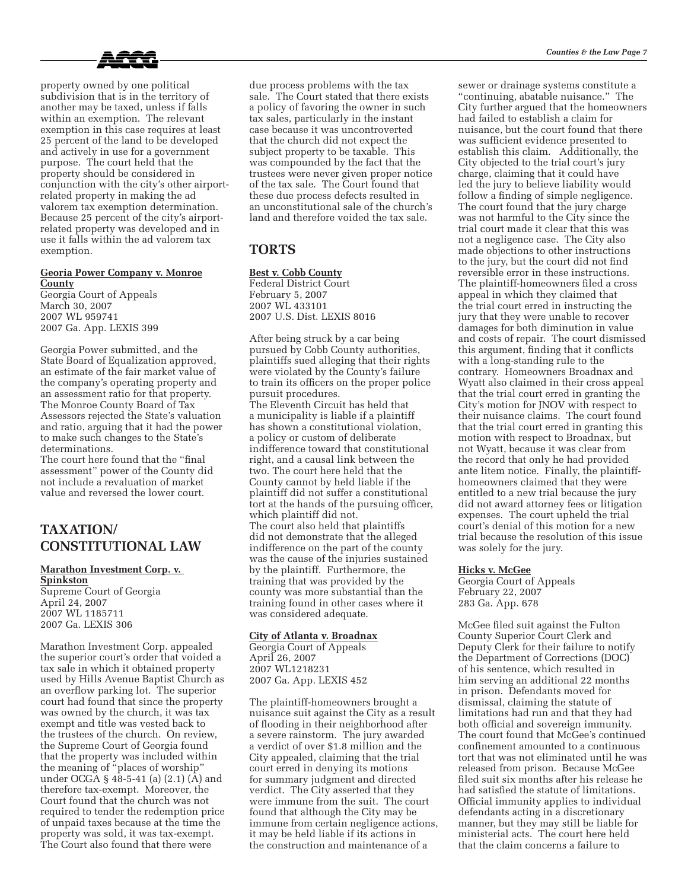

property owned by one political subdivision that is in the territory of another may be taxed, unless if falls within an exemption. The relevant exemption in this case requires at least 25 percent of the land to be developed and actively in use for a government purpose. The court held that the property should be considered in conjunction with the city's other airportrelated property in making the ad valorem tax exemption determination. Because 25 percent of the city's airportrelated property was developed and in use it falls within the ad valorem tax exemption.

### **Georia Power Company v. Monroe County**

Georgia Court of Appeals March 30, 2007 2007 WL 959741 2007 Ga. App. LEXIS 399

Georgia Power submitted, and the State Board of Equalization approved, an estimate of the fair market value of the company's operating property and an assessment ratio for that property. The Monroe County Board of Tax Assessors rejected the State's valuation and ratio, arguing that it had the power to make such changes to the State's determinations.

The court here found that the "final assessment" power of the County did not include a revaluation of market value and reversed the lower court.

## **TAXATION/ CONSTITUTIONAL LAW**

### **Marathon Investment Corp. v. Spinkston**

Supreme Court of Georgia April 24, 2007 2007 WL 1185711 2007 Ga. LEXIS 306

Marathon Investment Corp. appealed the superior court's order that voided a tax sale in which it obtained property used by Hills Avenue Baptist Church as an overflow parking lot. The superior court had found that since the property was owned by the church, it was tax exempt and title was vested back to the trustees of the church. On review, the Supreme Court of Georgia found that the property was included within the meaning of "places of worship" under OCGA § 48-5-41 (a) (2.1) (A) and therefore tax-exempt. Moreover, the Court found that the church was not required to tender the redemption price of unpaid taxes because at the time the property was sold, it was tax-exempt. The Court also found that there were

due process problems with the tax sale. The Court stated that there exists a policy of favoring the owner in such tax sales, particularly in the instant case because it was uncontroverted that the church did not expect the subject property to be taxable. This was compounded by the fact that the trustees were never given proper notice of the tax sale. The Court found that these due process defects resulted in an unconstitutional sale of the church's land and therefore voided the tax sale.

# **TORTS**

### **Best v. Cobb County**

Federal District Court February 5, 2007 2007 WL 433101 2007 U.S. Dist. LEXIS 8016

After being struck by a car being pursued by Cobb County authorities, plaintiffs sued alleging that their rights were violated by the County's failure to train its officers on the proper police pursuit procedures. The Eleventh Circuit has held that a municipality is liable if a plaintiff has shown a constitutional violation, a policy or custom of deliberate indifference toward that constitutional right, and a causal link between the two. The court here held that the County cannot by held liable if the plaintiff did not suffer a constitutional tort at the hands of the pursuing officer, which plaintiff did not. The court also held that plaintiffs did not demonstrate that the alleged indifference on the part of the county was the cause of the injuries sustained by the plaintiff. Furthermore, the training that was provided by the county was more substantial than the training found in other cases where it was considered adequate.

### **City of Atlanta v. Broadnax**

Georgia Court of Appeals April 26, 2007 2007 WL1218231 2007 Ga. App. LEXIS 452

The plaintiff-homeowners brought a nuisance suit against the City as a result of flooding in their neighborhood after a severe rainstorm. The jury awarded a verdict of over \$1.8 million and the City appealed, claiming that the trial court erred in denying its motions for summary judgment and directed verdict. The City asserted that they were immune from the suit. The court found that although the City may be immune from certain negligence actions, it may be held liable if its actions in the construction and maintenance of a

sewer or drainage systems constitute a "continuing, abatable nuisance." The City further argued that the homeowners had failed to establish a claim for nuisance, but the court found that there was sufficient evidence presented to establish this claim. Additionally, the City objected to the trial court's jury charge, claiming that it could have led the jury to believe liability would follow a finding of simple negligence. The court found that the jury charge was not harmful to the City since the trial court made it clear that this was not a negligence case. The City also made objections to other instructions to the jury, but the court did not find reversible error in these instructions. The plaintiff-homeowners filed a cross appeal in which they claimed that the trial court erred in instructing the jury that they were unable to recover damages for both diminution in value and costs of repair. The court dismissed this argument, finding that it conflicts with a long-standing rule to the contrary. Homeowners Broadnax and Wyatt also claimed in their cross appeal that the trial court erred in granting the City's motion for JNOV with respect to their nuisance claims. The court found that the trial court erred in granting this motion with respect to Broadnax, but not Wyatt, because it was clear from the record that only he had provided ante litem notice. Finally, the plaintiffhomeowners claimed that they were entitled to a new trial because the jury did not award attorney fees or litigation expenses. The court upheld the trial court's denial of this motion for a new trial because the resolution of this issue was solely for the jury.

### **Hicks v. McGee**

Georgia Court of Appeals February 22, 2007 283 Ga. App. 678

McGee filed suit against the Fulton County Superior Court Clerk and Deputy Clerk for their failure to notify the Department of Corrections (DOC) of his sentence, which resulted in him serving an additional 22 months in prison. Defendants moved for dismissal, claiming the statute of limitations had run and that they had both official and sovereign immunity. The court found that McGee's continued confinement amounted to a continuous tort that was not eliminated until he was released from prison. Because McGee filed suit six months after his release he had satisfied the statute of limitations. Official immunity applies to individual defendants acting in a discretionary manner, but they may still be liable for ministerial acts. The court here held that the claim concerns a failure to